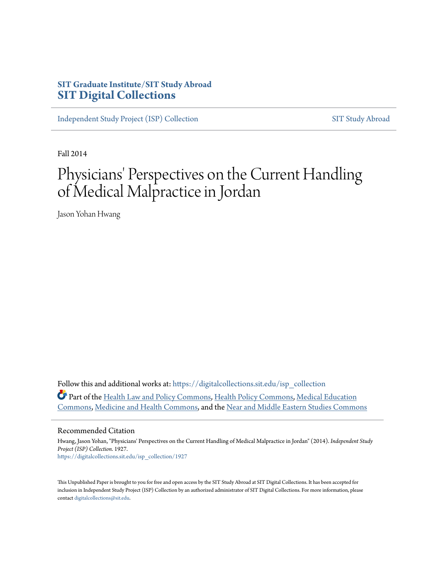# **SIT Graduate Institute/SIT Study Abroad [SIT Digital Collections](https://digitalcollections.sit.edu?utm_source=digitalcollections.sit.edu%2Fisp_collection%2F1927&utm_medium=PDF&utm_campaign=PDFCoverPages)**

[Independent Study Project \(ISP\) Collection](https://digitalcollections.sit.edu/isp_collection?utm_source=digitalcollections.sit.edu%2Fisp_collection%2F1927&utm_medium=PDF&utm_campaign=PDFCoverPages) [SIT Study Abroad](https://digitalcollections.sit.edu/study_abroad?utm_source=digitalcollections.sit.edu%2Fisp_collection%2F1927&utm_medium=PDF&utm_campaign=PDFCoverPages)

Fall 2014

# Physicians' Perspectives on the Current Handling of Medical Malpractice in Jordan

Jason Yohan Hwang

Follow this and additional works at: [https://digitalcollections.sit.edu/isp\\_collection](https://digitalcollections.sit.edu/isp_collection?utm_source=digitalcollections.sit.edu%2Fisp_collection%2F1927&utm_medium=PDF&utm_campaign=PDFCoverPages) Part of the [Health Law and Policy Commons](http://network.bepress.com/hgg/discipline/901?utm_source=digitalcollections.sit.edu%2Fisp_collection%2F1927&utm_medium=PDF&utm_campaign=PDFCoverPages), [Health Policy Commons,](http://network.bepress.com/hgg/discipline/395?utm_source=digitalcollections.sit.edu%2Fisp_collection%2F1927&utm_medium=PDF&utm_campaign=PDFCoverPages) [Medical Education](http://network.bepress.com/hgg/discipline/1125?utm_source=digitalcollections.sit.edu%2Fisp_collection%2F1927&utm_medium=PDF&utm_campaign=PDFCoverPages) [Commons,](http://network.bepress.com/hgg/discipline/1125?utm_source=digitalcollections.sit.edu%2Fisp_collection%2F1927&utm_medium=PDF&utm_campaign=PDFCoverPages) [Medicine and Health Commons](http://network.bepress.com/hgg/discipline/422?utm_source=digitalcollections.sit.edu%2Fisp_collection%2F1927&utm_medium=PDF&utm_campaign=PDFCoverPages), and the [Near and Middle Eastern Studies Commons](http://network.bepress.com/hgg/discipline/1308?utm_source=digitalcollections.sit.edu%2Fisp_collection%2F1927&utm_medium=PDF&utm_campaign=PDFCoverPages)

#### Recommended Citation

Hwang, Jason Yohan, "Physicians' Perspectives on the Current Handling of Medical Malpractice in Jordan" (2014). *Independent Study Project (ISP) Collection*. 1927. [https://digitalcollections.sit.edu/isp\\_collection/1927](https://digitalcollections.sit.edu/isp_collection/1927?utm_source=digitalcollections.sit.edu%2Fisp_collection%2F1927&utm_medium=PDF&utm_campaign=PDFCoverPages)

This Unpublished Paper is brought to you for free and open access by the SIT Study Abroad at SIT Digital Collections. It has been accepted for inclusion in Independent Study Project (ISP) Collection by an authorized administrator of SIT Digital Collections. For more information, please contact [digitalcollections@sit.edu](mailto:digitalcollections@sit.edu).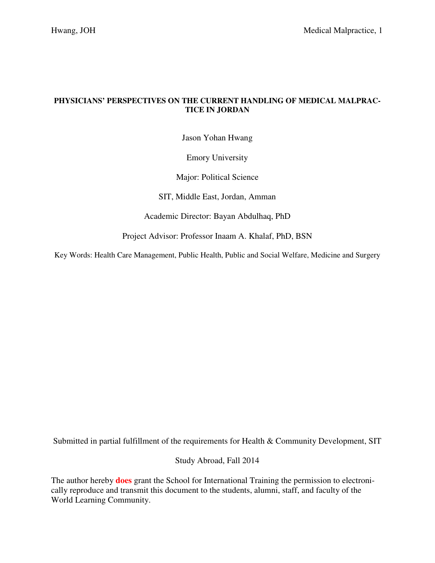# **PHYSICIANS' PERSPECTIVES ON THE CURRENT HANDLING OF MEDICAL MALPRAC-TICE IN JORDAN**

Jason Yohan Hwang

Emory University

Major: Political Science

SIT, Middle East, Jordan, Amman

Academic Director: Bayan Abdulhaq, PhD

Project Advisor: Professor Inaam A. Khalaf, PhD, BSN

Key Words: Health Care Management, Public Health, Public and Social Welfare, Medicine and Surgery

Submitted in partial fulfillment of the requirements for Health & Community Development, SIT

Study Abroad, Fall 2014

The author hereby **does** grant the School for International Training the permission to electronically reproduce and transmit this document to the students, alumni, staff, and faculty of the World Learning Community.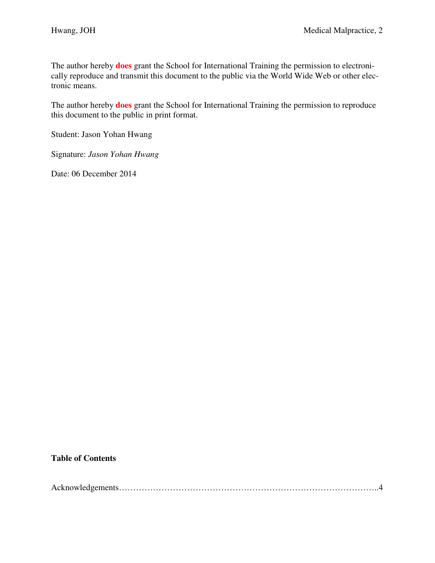The author hereby **does** grant the School for International Training the permission to electronically reproduce and transmit this document to the public via the World Wide Web or other electronic means.

The author hereby **does** grant the School for International Training the permission to reproduce this document to the public in print format.

Student: Jason Yohan Hwang

Signature: *Jason Yohan Hwang*

Date: 06 December 2014

# **Table of Contents**

|--|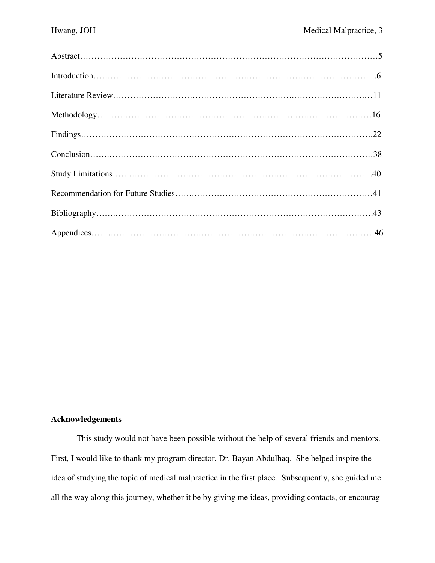# **Acknowledgements**

 This study would not have been possible without the help of several friends and mentors. First, I would like to thank my program director, Dr. Bayan Abdulhaq. She helped inspire the idea of studying the topic of medical malpractice in the first place. Subsequently, she guided me all the way along this journey, whether it be by giving me ideas, providing contacts, or encourag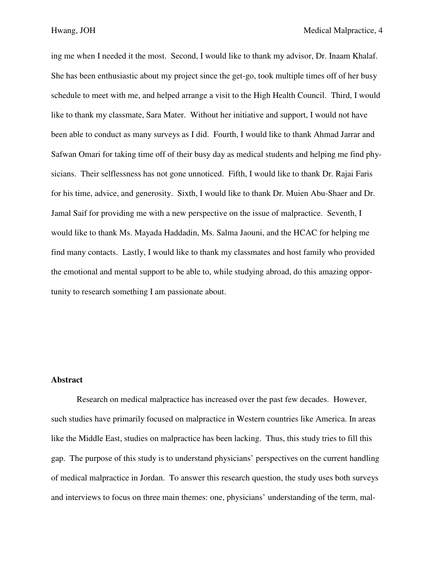ing me when I needed it the most. Second, I would like to thank my advisor, Dr. Inaam Khalaf. She has been enthusiastic about my project since the get-go, took multiple times off of her busy schedule to meet with me, and helped arrange a visit to the High Health Council. Third, I would like to thank my classmate, Sara Mater. Without her initiative and support, I would not have been able to conduct as many surveys as I did. Fourth, I would like to thank Ahmad Jarrar and Safwan Omari for taking time off of their busy day as medical students and helping me find physicians. Their selflessness has not gone unnoticed. Fifth, I would like to thank Dr. Rajai Faris for his time, advice, and generosity. Sixth, I would like to thank Dr. Muien Abu-Shaer and Dr. Jamal Saif for providing me with a new perspective on the issue of malpractice. Seventh, I would like to thank Ms. Mayada Haddadin, Ms. Salma Jaouni, and the HCAC for helping me find many contacts. Lastly, I would like to thank my classmates and host family who provided the emotional and mental support to be able to, while studying abroad, do this amazing opportunity to research something I am passionate about.

# **Abstract**

Research on medical malpractice has increased over the past few decades. However, such studies have primarily focused on malpractice in Western countries like America. In areas like the Middle East, studies on malpractice has been lacking. Thus, this study tries to fill this gap. The purpose of this study is to understand physicians' perspectives on the current handling of medical malpractice in Jordan. To answer this research question, the study uses both surveys and interviews to focus on three main themes: one, physicians' understanding of the term, mal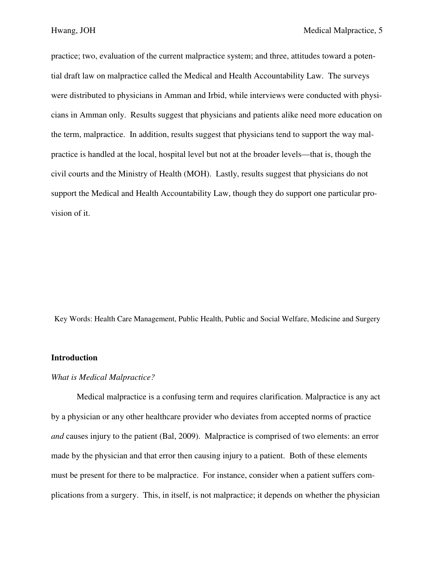practice; two, evaluation of the current malpractice system; and three, attitudes toward a potential draft law on malpractice called the Medical and Health Accountability Law. The surveys were distributed to physicians in Amman and Irbid, while interviews were conducted with physicians in Amman only. Results suggest that physicians and patients alike need more education on the term, malpractice. In addition, results suggest that physicians tend to support the way malpractice is handled at the local, hospital level but not at the broader levels—that is, though the civil courts and the Ministry of Health (MOH). Lastly, results suggest that physicians do not support the Medical and Health Accountability Law, though they do support one particular provision of it.

Key Words: Health Care Management, Public Health, Public and Social Welfare, Medicine and Surgery

# **Introduction**

## *What is Medical Malpractice?*

Medical malpractice is a confusing term and requires clarification. Malpractice is any act by a physician or any other healthcare provider who deviates from accepted norms of practice *and* causes injury to the patient (Bal, 2009). Malpractice is comprised of two elements: an error made by the physician and that error then causing injury to a patient. Both of these elements must be present for there to be malpractice. For instance, consider when a patient suffers complications from a surgery. This, in itself, is not malpractice; it depends on whether the physician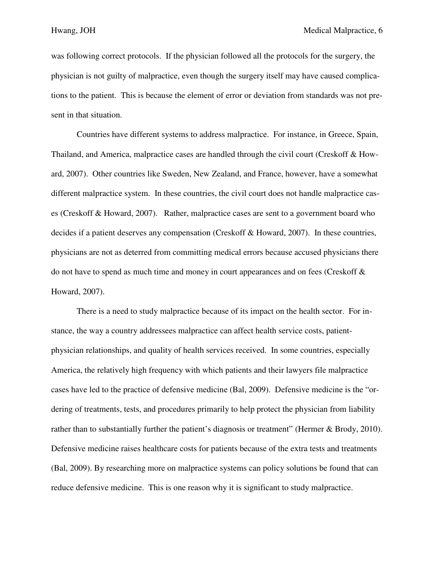was following correct protocols. If the physician followed all the protocols for the surgery, the physician is not guilty of malpractice, even though the surgery itself may have caused complications to the patient. This is because the element of error or deviation from standards was not present in that situation.

 Countries have different systems to address malpractice. For instance, in Greece, Spain, Thailand, and America, malpractice cases are handled through the civil court (Creskoff & Howard, 2007). Other countries like Sweden, New Zealand, and France, however, have a somewhat different malpractice system. In these countries, the civil court does not handle malpractice cases (Creskoff & Howard, 2007). Rather, malpractice cases are sent to a government board who decides if a patient deserves any compensation (Creskoff & Howard, 2007). In these countries, physicians are not as deterred from committing medical errors because accused physicians there do not have to spend as much time and money in court appearances and on fees (Creskoff  $\&$ Howard, 2007).

There is a need to study malpractice because of its impact on the health sector. For instance, the way a country addressees malpractice can affect health service costs, patientphysician relationships, and quality of health services received. In some countries, especially America, the relatively high frequency with which patients and their lawyers file malpractice cases have led to the practice of defensive medicine (Bal, 2009). Defensive medicine is the "ordering of treatments, tests, and procedures primarily to help protect the physician from liability rather than to substantially further the patient's diagnosis or treatment" (Hermer & Brody, 2010). Defensive medicine raises healthcare costs for patients because of the extra tests and treatments (Bal, 2009). By researching more on malpractice systems can policy solutions be found that can reduce defensive medicine. This is one reason why it is significant to study malpractice.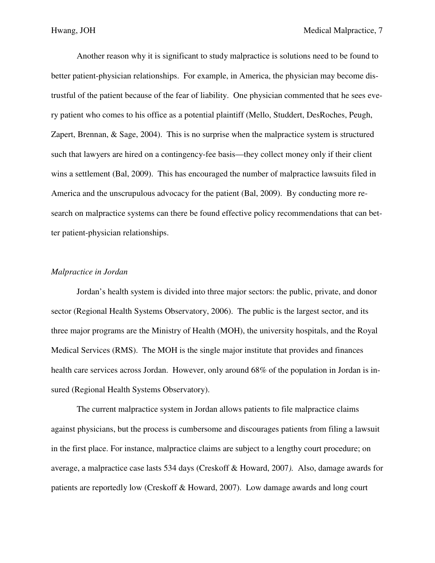Another reason why it is significant to study malpractice is solutions need to be found to better patient-physician relationships. For example, in America, the physician may become distrustful of the patient because of the fear of liability. One physician commented that he sees every patient who comes to his office as a potential plaintiff (Mello, Studdert, DesRoches, Peugh, Zapert, Brennan, & Sage, 2004). This is no surprise when the malpractice system is structured such that lawyers are hired on a contingency-fee basis—they collect money only if their client wins a settlement (Bal, 2009). This has encouraged the number of malpractice lawsuits filed in America and the unscrupulous advocacy for the patient (Bal, 2009). By conducting more research on malpractice systems can there be found effective policy recommendations that can better patient-physician relationships.

## *Malpractice in Jordan*

Jordan's health system is divided into three major sectors: the public, private, and donor sector (Regional Health Systems Observatory, 2006). The public is the largest sector, and its three major programs are the Ministry of Health (MOH), the university hospitals, and the Royal Medical Services (RMS). The MOH is the single major institute that provides and finances health care services across Jordan. However, only around 68% of the population in Jordan is insured (Regional Health Systems Observatory).

 The current malpractice system in Jordan allows patients to file malpractice claims against physicians, but the process is cumbersome and discourages patients from filing a lawsuit in the first place. For instance, malpractice claims are subject to a lengthy court procedure; on average, a malpractice case lasts 534 days (Creskoff & Howard, 2007*).* Also, damage awards for patients are reportedly low (Creskoff & Howard, 2007). Low damage awards and long court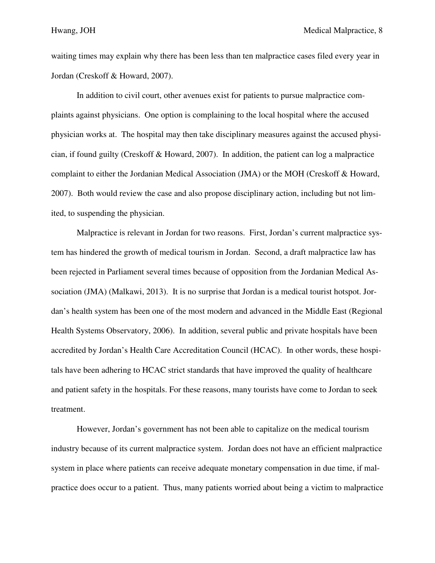waiting times may explain why there has been less than ten malpractice cases filed every year in Jordan (Creskoff & Howard, 2007).

 In addition to civil court, other avenues exist for patients to pursue malpractice complaints against physicians. One option is complaining to the local hospital where the accused physician works at. The hospital may then take disciplinary measures against the accused physician, if found guilty (Creskoff & Howard, 2007). In addition, the patient can log a malpractice complaint to either the Jordanian Medical Association (JMA) or the MOH (Creskoff & Howard, 2007). Both would review the case and also propose disciplinary action, including but not limited, to suspending the physician.

 Malpractice is relevant in Jordan for two reasons. First, Jordan's current malpractice system has hindered the growth of medical tourism in Jordan. Second, a draft malpractice law has been rejected in Parliament several times because of opposition from the Jordanian Medical Association (JMA) (Malkawi, 2013). It is no surprise that Jordan is a medical tourist hotspot. Jordan's health system has been one of the most modern and advanced in the Middle East (Regional Health Systems Observatory, 2006). In addition, several public and private hospitals have been accredited by Jordan's Health Care Accreditation Council (HCAC). In other words, these hospitals have been adhering to HCAC strict standards that have improved the quality of healthcare and patient safety in the hospitals. For these reasons, many tourists have come to Jordan to seek treatment.

 However, Jordan's government has not been able to capitalize on the medical tourism industry because of its current malpractice system. Jordan does not have an efficient malpractice system in place where patients can receive adequate monetary compensation in due time, if malpractice does occur to a patient. Thus, many patients worried about being a victim to malpractice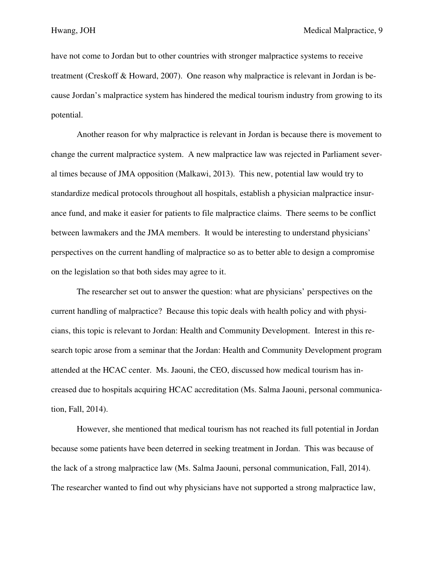have not come to Jordan but to other countries with stronger malpractice systems to receive treatment (Creskoff & Howard, 2007). One reason why malpractice is relevant in Jordan is because Jordan's malpractice system has hindered the medical tourism industry from growing to its potential.

 Another reason for why malpractice is relevant in Jordan is because there is movement to change the current malpractice system. A new malpractice law was rejected in Parliament several times because of JMA opposition (Malkawi, 2013). This new, potential law would try to standardize medical protocols throughout all hospitals, establish a physician malpractice insurance fund, and make it easier for patients to file malpractice claims. There seems to be conflict between lawmakers and the JMA members. It would be interesting to understand physicians' perspectives on the current handling of malpractice so as to better able to design a compromise on the legislation so that both sides may agree to it.

 The researcher set out to answer the question: what are physicians' perspectives on the current handling of malpractice? Because this topic deals with health policy and with physicians, this topic is relevant to Jordan: Health and Community Development. Interest in this research topic arose from a seminar that the Jordan: Health and Community Development program attended at the HCAC center. Ms. Jaouni, the CEO, discussed how medical tourism has increased due to hospitals acquiring HCAC accreditation (Ms. Salma Jaouni, personal communication, Fall, 2014).

 However, she mentioned that medical tourism has not reached its full potential in Jordan because some patients have been deterred in seeking treatment in Jordan. This was because of the lack of a strong malpractice law (Ms. Salma Jaouni, personal communication, Fall, 2014). The researcher wanted to find out why physicians have not supported a strong malpractice law,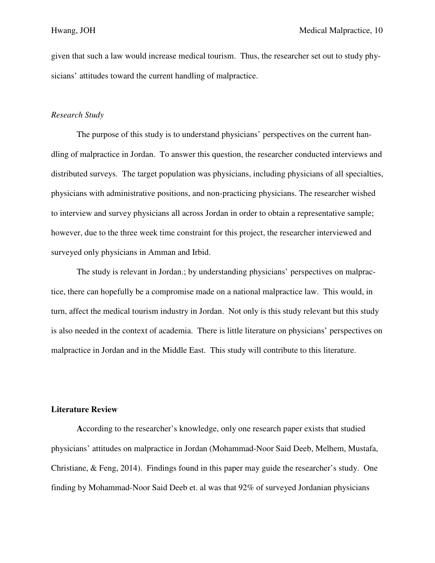given that such a law would increase medical tourism. Thus, the researcher set out to study physicians' attitudes toward the current handling of malpractice.

## *Research Study*

The purpose of this study is to understand physicians' perspectives on the current handling of malpractice in Jordan. To answer this question, the researcher conducted interviews and distributed surveys. The target population was physicians, including physicians of all specialties, physicians with administrative positions, and non-practicing physicians. The researcher wished to interview and survey physicians all across Jordan in order to obtain a representative sample; however, due to the three week time constraint for this project, the researcher interviewed and surveyed only physicians in Amman and Irbid.

 The study is relevant in Jordan.; by understanding physicians' perspectives on malpractice, there can hopefully be a compromise made on a national malpractice law. This would, in turn, affect the medical tourism industry in Jordan. Not only is this study relevant but this study is also needed in the context of academia. There is little literature on physicians' perspectives on malpractice in Jordan and in the Middle East. This study will contribute to this literature.

## **Literature Review**

 **A**ccording to the researcher's knowledge, only one research paper exists that studied physicians' attitudes on malpractice in Jordan (Mohammad-Noor Said Deeb, Melhem, Mustafa, Christiane, & Feng, 2014). Findings found in this paper may guide the researcher's study. One finding by Mohammad-Noor Said Deeb et. al was that 92% of surveyed Jordanian physicians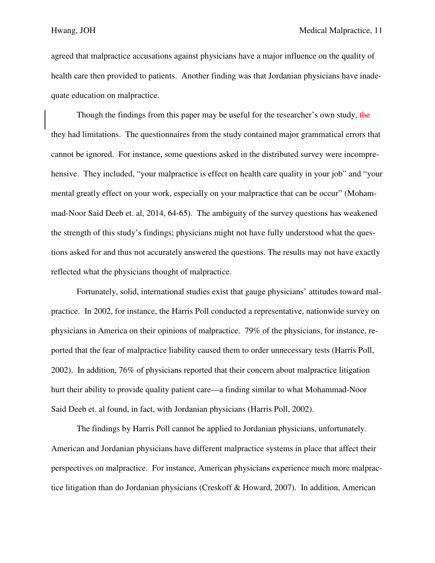agreed that malpractice accusations against physicians have a major influence on the quality of health care then provided to patients. Another finding was that Jordanian physicians have inadequate education on malpractice.

Though the findings from this paper may be useful for the researcher's own study, the they had limitations. The questionnaires from the study contained major grammatical errors that cannot be ignored. For instance, some questions asked in the distributed survey were incomprehensive. They included, "your malpractice is effect on health care quality in your job" and "your mental greatly effect on your work, especially on your malpractice that can be occur" (Mohammad-Noor Said Deeb et. al, 2014, 64-65). The ambiguity of the survey questions has weakened the strength of this study's findings; physicians might not have fully understood what the questions asked for and thus not accurately answered the questions. The results may not have exactly reflected what the physicians thought of malpractice.

 Fortunately, solid, international studies exist that gauge physicians' attitudes toward malpractice. In 2002, for instance, the Harris Poll conducted a representative, nationwide survey on physicians in America on their opinions of malpractice. 79% of the physicians, for instance, reported that the fear of malpractice liability caused them to order unnecessary tests (Harris Poll, 2002). In addition, 76% of physicians reported that their concern about malpractice litigation hurt their ability to provide quality patient care—a finding similar to what Mohammad-Noor Said Deeb et. al found, in fact, with Jordanian physicians (Harris Poll, 2002).

 The findings by Harris Poll cannot be applied to Jordanian physicians, unfortunately. American and Jordanian physicians have different malpractice systems in place that affect their perspectives on malpractice. For instance, American physicians experience much more malpractice litigation than do Jordanian physicians (Creskoff & Howard, 2007). In addition, American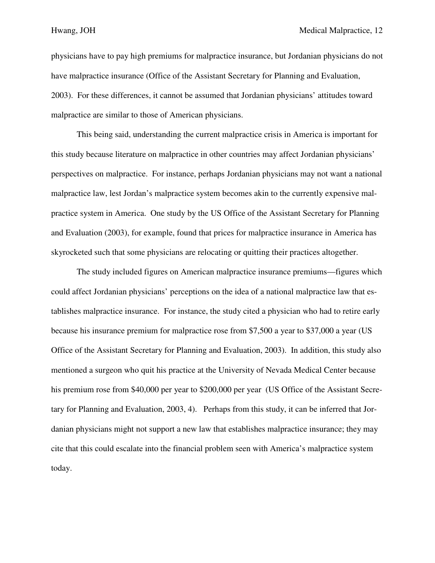physicians have to pay high premiums for malpractice insurance, but Jordanian physicians do not have malpractice insurance (Office of the Assistant Secretary for Planning and Evaluation, 2003). For these differences, it cannot be assumed that Jordanian physicians' attitudes toward malpractice are similar to those of American physicians.

 This being said, understanding the current malpractice crisis in America is important for this study because literature on malpractice in other countries may affect Jordanian physicians' perspectives on malpractice. For instance, perhaps Jordanian physicians may not want a national malpractice law, lest Jordan's malpractice system becomes akin to the currently expensive malpractice system in America. One study by the US Office of the Assistant Secretary for Planning and Evaluation (2003), for example, found that prices for malpractice insurance in America has skyrocketed such that some physicians are relocating or quitting their practices altogether.

 The study included figures on American malpractice insurance premiums—figures which could affect Jordanian physicians' perceptions on the idea of a national malpractice law that establishes malpractice insurance. For instance, the study cited a physician who had to retire early because his insurance premium for malpractice rose from \$7,500 a year to \$37,000 a year (US Office of the Assistant Secretary for Planning and Evaluation, 2003). In addition, this study also mentioned a surgeon who quit his practice at the University of Nevada Medical Center because his premium rose from \$40,000 per year to \$200,000 per year (US Office of the Assistant Secretary for Planning and Evaluation, 2003, 4). Perhaps from this study, it can be inferred that Jordanian physicians might not support a new law that establishes malpractice insurance; they may cite that this could escalate into the financial problem seen with America's malpractice system today.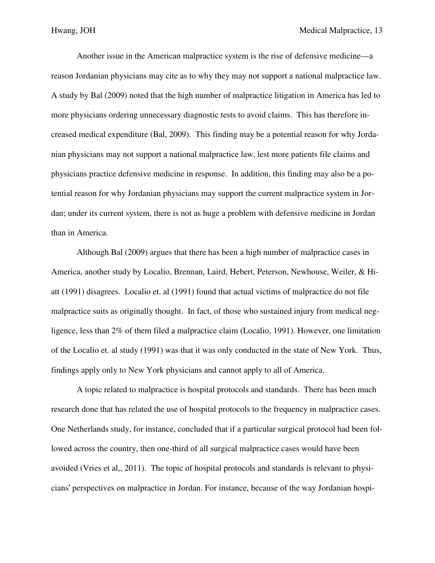Another issue in the American malpractice system is the rise of defensive medicine—a reason Jordanian physicians may cite as to why they may not support a national malpractice law. A study by Bal (2009) noted that the high number of malpractice litigation in America has led to more physicians ordering unnecessary diagnostic tests to avoid claims. This has therefore increased medical expenditure (Bal, 2009). This finding may be a potential reason for why Jordanian physicians may not support a national malpractice law, lest more patients file claims and physicians practice defensive medicine in response. In addition, this finding may also be a potential reason for why Jordanian physicians may support the current malpractice system in Jordan; under its current system, there is not as huge a problem with defensive medicine in Jordan than in America.

 Although Bal (2009) argues that there has been a high number of malpractice cases in America, another study by Localio, Brennan, Laird, Hebert, Peterson, Newhouse, Weiler, & Hiatt (1991) disagrees. Localio et. al (1991) found that actual victims of malpractice do not file malpractice suits as originally thought. In fact, of those who sustained injury from medical negligence, less than 2% of them filed a malpractice claim (Localio, 1991). However, one limitation of the Localio et. al study (1991) was that it was only conducted in the state of New York. Thus, findings apply only to New York physicians and cannot apply to all of America.

 A topic related to malpractice is hospital protocols and standards. There has been much research done that has related the use of hospital protocols to the frequency in malpractice cases. One Netherlands study, for instance, concluded that if a particular surgical protocol had been followed across the country, then one-third of all surgical malpractice cases would have been avoided (Vries et al,, 2011). The topic of hospital protocols and standards is relevant to physicians' perspectives on malpractice in Jordan. For instance, because of the way Jordanian hospi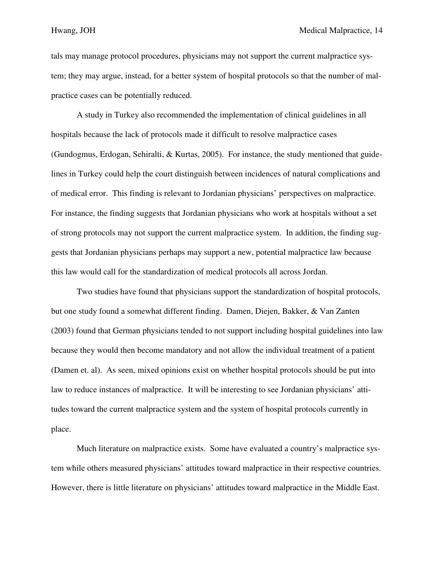tals may manage protocol procedures, physicians may not support the current malpractice system; they may argue, instead, for a better system of hospital protocols so that the number of malpractice cases can be potentially reduced.

 A study in Turkey also recommended the implementation of clinical guidelines in all hospitals because the lack of protocols made it difficult to resolve malpractice cases (Gundogmus, Erdogan, Sehiralti, & Kurtas, 2005). For instance, the study mentioned that guidelines in Turkey could help the court distinguish between incidences of natural complications and of medical error. This finding is relevant to Jordanian physicians' perspectives on malpractice. For instance, the finding suggests that Jordanian physicians who work at hospitals without a set of strong protocols may not support the current malpractice system. In addition, the finding suggests that Jordanian physicians perhaps may support a new, potential malpractice law because this law would call for the standardization of medical protocols all across Jordan.

 Two studies have found that physicians support the standardization of hospital protocols, but one study found a somewhat different finding. Damen, Diejen, Bakker, & Van Zanten (2003) found that German physicians tended to not support including hospital guidelines into law because they would then become mandatory and not allow the individual treatment of a patient (Damen et. al). As seen, mixed opinions exist on whether hospital protocols should be put into law to reduce instances of malpractice. It will be interesting to see Jordanian physicians' attitudes toward the current malpractice system and the system of hospital protocols currently in place.

 Much literature on malpractice exists. Some have evaluated a country's malpractice system while others measured physicians' attitudes toward malpractice in their respective countries. However, there is little literature on physicians' attitudes toward malpractice in the Middle East.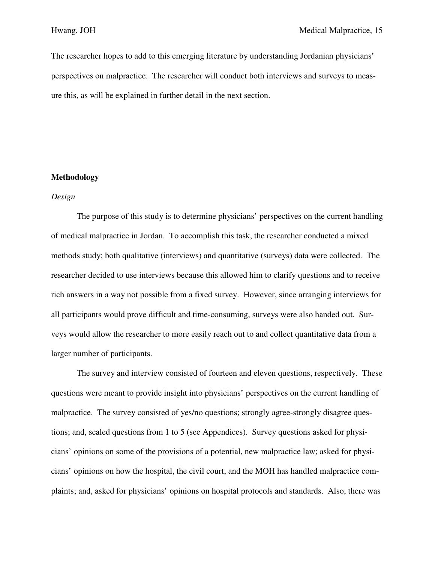The researcher hopes to add to this emerging literature by understanding Jordanian physicians' perspectives on malpractice. The researcher will conduct both interviews and surveys to measure this, as will be explained in further detail in the next section.

# **Methodology**

# *Design*

 The purpose of this study is to determine physicians' perspectives on the current handling of medical malpractice in Jordan. To accomplish this task, the researcher conducted a mixed methods study; both qualitative (interviews) and quantitative (surveys) data were collected. The researcher decided to use interviews because this allowed him to clarify questions and to receive rich answers in a way not possible from a fixed survey. However, since arranging interviews for all participants would prove difficult and time-consuming, surveys were also handed out. Surveys would allow the researcher to more easily reach out to and collect quantitative data from a larger number of participants.

 The survey and interview consisted of fourteen and eleven questions, respectively. These questions were meant to provide insight into physicians' perspectives on the current handling of malpractice. The survey consisted of yes/no questions; strongly agree-strongly disagree questions; and, scaled questions from 1 to 5 (see Appendices). Survey questions asked for physicians' opinions on some of the provisions of a potential, new malpractice law; asked for physicians' opinions on how the hospital, the civil court, and the MOH has handled malpractice complaints; and, asked for physicians' opinions on hospital protocols and standards. Also, there was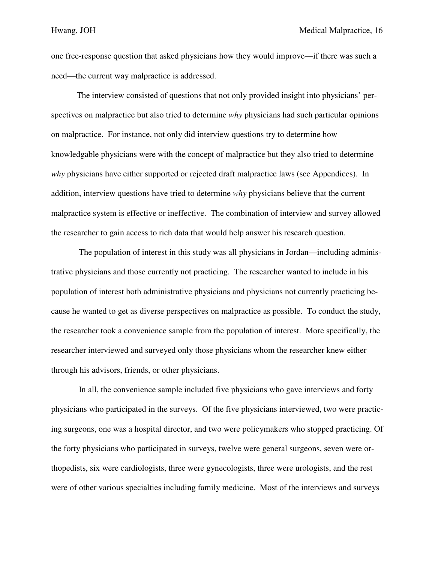one free-response question that asked physicians how they would improve—if there was such a need—the current way malpractice is addressed.

 The interview consisted of questions that not only provided insight into physicians' perspectives on malpractice but also tried to determine *why* physicians had such particular opinions on malpractice. For instance, not only did interview questions try to determine how knowledgable physicians were with the concept of malpractice but they also tried to determine *why* physicians have either supported or rejected draft malpractice laws (see Appendices). In addition, interview questions have tried to determine *why* physicians believe that the current malpractice system is effective or ineffective. The combination of interview and survey allowed the researcher to gain access to rich data that would help answer his research question.

 The population of interest in this study was all physicians in Jordan—including administrative physicians and those currently not practicing. The researcher wanted to include in his population of interest both administrative physicians and physicians not currently practicing because he wanted to get as diverse perspectives on malpractice as possible. To conduct the study, the researcher took a convenience sample from the population of interest. More specifically, the researcher interviewed and surveyed only those physicians whom the researcher knew either through his advisors, friends, or other physicians.

 In all, the convenience sample included five physicians who gave interviews and forty physicians who participated in the surveys. Of the five physicians interviewed, two were practicing surgeons, one was a hospital director, and two were policymakers who stopped practicing. Of the forty physicians who participated in surveys, twelve were general surgeons, seven were orthopedists, six were cardiologists, three were gynecologists, three were urologists, and the rest were of other various specialties including family medicine. Most of the interviews and surveys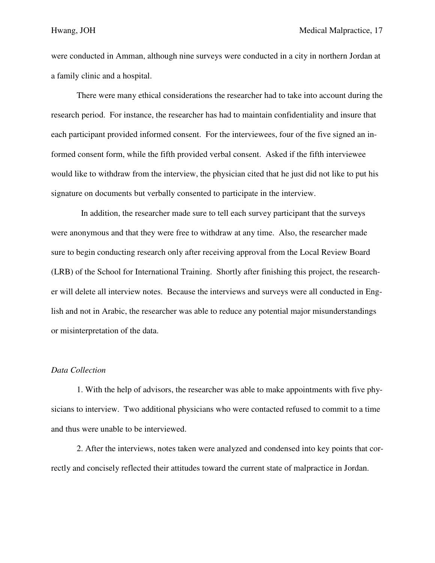were conducted in Amman, although nine surveys were conducted in a city in northern Jordan at a family clinic and a hospital.

 There were many ethical considerations the researcher had to take into account during the research period. For instance, the researcher has had to maintain confidentiality and insure that each participant provided informed consent. For the interviewees, four of the five signed an informed consent form, while the fifth provided verbal consent. Asked if the fifth interviewee would like to withdraw from the interview, the physician cited that he just did not like to put his signature on documents but verbally consented to participate in the interview.

 In addition, the researcher made sure to tell each survey participant that the surveys were anonymous and that they were free to withdraw at any time. Also, the researcher made sure to begin conducting research only after receiving approval from the Local Review Board (LRB) of the School for International Training. Shortly after finishing this project, the researcher will delete all interview notes. Because the interviews and surveys were all conducted in English and not in Arabic, the researcher was able to reduce any potential major misunderstandings or misinterpretation of the data.

## *Data Collection*

1. With the help of advisors, the researcher was able to make appointments with five physicians to interview. Two additional physicians who were contacted refused to commit to a time and thus were unable to be interviewed.

 2. After the interviews, notes taken were analyzed and condensed into key points that correctly and concisely reflected their attitudes toward the current state of malpractice in Jordan.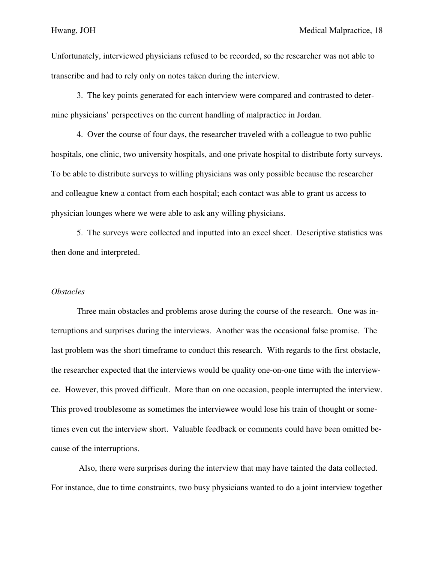Unfortunately, interviewed physicians refused to be recorded, so the researcher was not able to transcribe and had to rely only on notes taken during the interview.

 3. The key points generated for each interview were compared and contrasted to determine physicians' perspectives on the current handling of malpractice in Jordan.

 4. Over the course of four days, the researcher traveled with a colleague to two public hospitals, one clinic, two university hospitals, and one private hospital to distribute forty surveys. To be able to distribute surveys to willing physicians was only possible because the researcher and colleague knew a contact from each hospital; each contact was able to grant us access to physician lounges where we were able to ask any willing physicians.

 5. The surveys were collected and inputted into an excel sheet. Descriptive statistics was then done and interpreted.

#### *Obstacles*

Three main obstacles and problems arose during the course of the research. One was interruptions and surprises during the interviews. Another was the occasional false promise. The last problem was the short timeframe to conduct this research. With regards to the first obstacle, the researcher expected that the interviews would be quality one-on-one time with the interviewee. However, this proved difficult. More than on one occasion, people interrupted the interview. This proved troublesome as sometimes the interviewee would lose his train of thought or sometimes even cut the interview short. Valuable feedback or comments could have been omitted because of the interruptions.

 Also, there were surprises during the interview that may have tainted the data collected. For instance, due to time constraints, two busy physicians wanted to do a joint interview together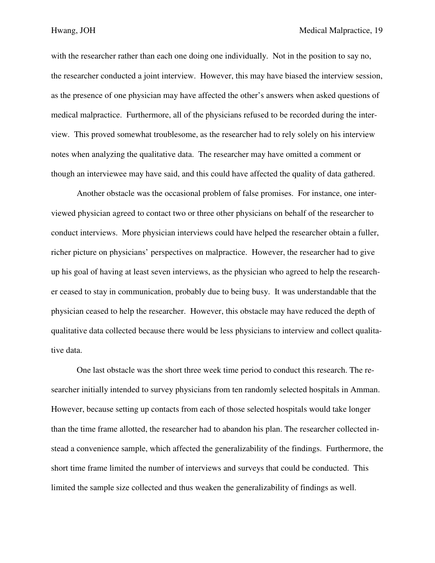with the researcher rather than each one doing one individually. Not in the position to say no, the researcher conducted a joint interview. However, this may have biased the interview session, as the presence of one physician may have affected the other's answers when asked questions of medical malpractice. Furthermore, all of the physicians refused to be recorded during the interview. This proved somewhat troublesome, as the researcher had to rely solely on his interview notes when analyzing the qualitative data. The researcher may have omitted a comment or though an interviewee may have said, and this could have affected the quality of data gathered.

 Another obstacle was the occasional problem of false promises. For instance, one interviewed physician agreed to contact two or three other physicians on behalf of the researcher to conduct interviews. More physician interviews could have helped the researcher obtain a fuller, richer picture on physicians' perspectives on malpractice. However, the researcher had to give up his goal of having at least seven interviews, as the physician who agreed to help the researcher ceased to stay in communication, probably due to being busy. It was understandable that the physician ceased to help the researcher. However, this obstacle may have reduced the depth of qualitative data collected because there would be less physicians to interview and collect qualitative data.

 One last obstacle was the short three week time period to conduct this research. The researcher initially intended to survey physicians from ten randomly selected hospitals in Amman. However, because setting up contacts from each of those selected hospitals would take longer than the time frame allotted, the researcher had to abandon his plan. The researcher collected instead a convenience sample, which affected the generalizability of the findings. Furthermore, the short time frame limited the number of interviews and surveys that could be conducted. This limited the sample size collected and thus weaken the generalizability of findings as well.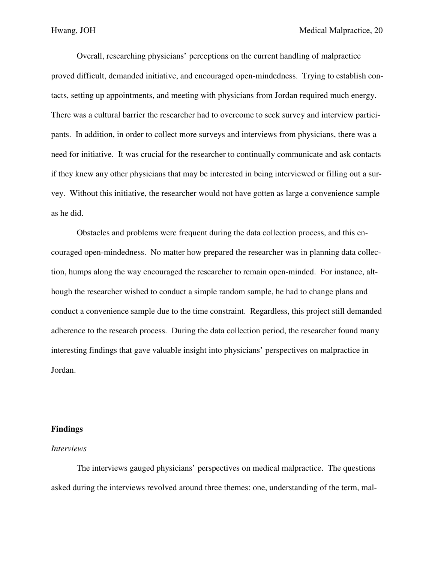Overall, researching physicians' perceptions on the current handling of malpractice proved difficult, demanded initiative, and encouraged open-mindedness. Trying to establish contacts, setting up appointments, and meeting with physicians from Jordan required much energy. There was a cultural barrier the researcher had to overcome to seek survey and interview participants. In addition, in order to collect more surveys and interviews from physicians, there was a need for initiative. It was crucial for the researcher to continually communicate and ask contacts if they knew any other physicians that may be interested in being interviewed or filling out a survey. Without this initiative, the researcher would not have gotten as large a convenience sample as he did.

 Obstacles and problems were frequent during the data collection process, and this encouraged open-mindedness. No matter how prepared the researcher was in planning data collection, humps along the way encouraged the researcher to remain open-minded. For instance, although the researcher wished to conduct a simple random sample, he had to change plans and conduct a convenience sample due to the time constraint. Regardless, this project still demanded adherence to the research process. During the data collection period, the researcher found many interesting findings that gave valuable insight into physicians' perspectives on malpractice in Jordan.

#### **Findings**

#### *Interviews*

The interviews gauged physicians' perspectives on medical malpractice. The questions asked during the interviews revolved around three themes: one, understanding of the term, mal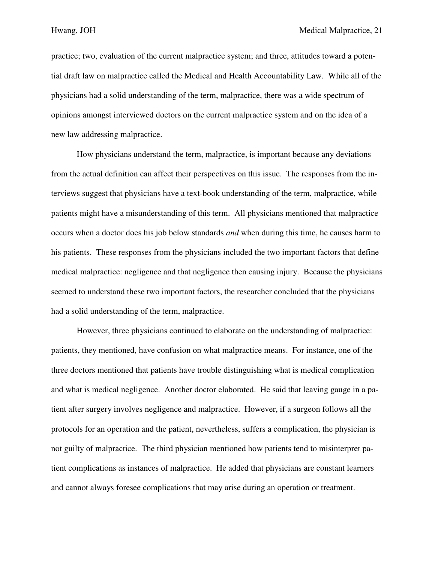practice; two, evaluation of the current malpractice system; and three, attitudes toward a potential draft law on malpractice called the Medical and Health Accountability Law. While all of the physicians had a solid understanding of the term, malpractice, there was a wide spectrum of opinions amongst interviewed doctors on the current malpractice system and on the idea of a new law addressing malpractice.

 How physicians understand the term, malpractice, is important because any deviations from the actual definition can affect their perspectives on this issue. The responses from the interviews suggest that physicians have a text-book understanding of the term, malpractice, while patients might have a misunderstanding of this term. All physicians mentioned that malpractice occurs when a doctor does his job below standards *and* when during this time, he causes harm to his patients. These responses from the physicians included the two important factors that define medical malpractice: negligence and that negligence then causing injury. Because the physicians seemed to understand these two important factors, the researcher concluded that the physicians had a solid understanding of the term, malpractice.

 However, three physicians continued to elaborate on the understanding of malpractice: patients, they mentioned, have confusion on what malpractice means. For instance, one of the three doctors mentioned that patients have trouble distinguishing what is medical complication and what is medical negligence. Another doctor elaborated. He said that leaving gauge in a patient after surgery involves negligence and malpractice. However, if a surgeon follows all the protocols for an operation and the patient, nevertheless, suffers a complication, the physician is not guilty of malpractice. The third physician mentioned how patients tend to misinterpret patient complications as instances of malpractice. He added that physicians are constant learners and cannot always foresee complications that may arise during an operation or treatment.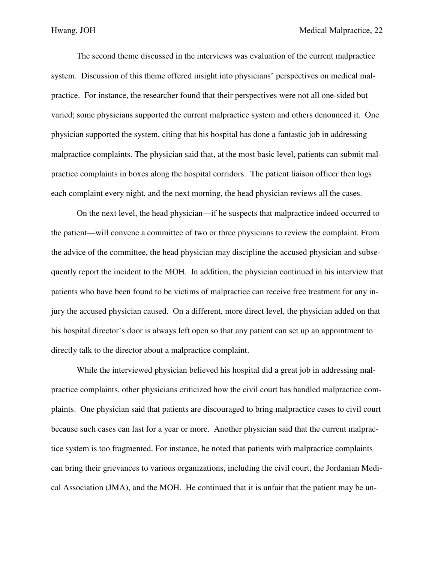The second theme discussed in the interviews was evaluation of the current malpractice system. Discussion of this theme offered insight into physicians' perspectives on medical malpractice. For instance, the researcher found that their perspectives were not all one-sided but varied; some physicians supported the current malpractice system and others denounced it. One physician supported the system, citing that his hospital has done a fantastic job in addressing malpractice complaints. The physician said that, at the most basic level, patients can submit malpractice complaints in boxes along the hospital corridors. The patient liaison officer then logs each complaint every night, and the next morning, the head physician reviews all the cases.

 On the next level, the head physician—if he suspects that malpractice indeed occurred to the patient—will convene a committee of two or three physicians to review the complaint. From the advice of the committee, the head physician may discipline the accused physician and subsequently report the incident to the MOH. In addition, the physician continued in his interview that patients who have been found to be victims of malpractice can receive free treatment for any injury the accused physician caused. On a different, more direct level, the physician added on that his hospital director's door is always left open so that any patient can set up an appointment to directly talk to the director about a malpractice complaint.

 While the interviewed physician believed his hospital did a great job in addressing malpractice complaints, other physicians criticized how the civil court has handled malpractice complaints. One physician said that patients are discouraged to bring malpractice cases to civil court because such cases can last for a year or more. Another physician said that the current malpractice system is too fragmented. For instance, he noted that patients with malpractice complaints can bring their grievances to various organizations, including the civil court, the Jordanian Medical Association (JMA), and the MOH. He continued that it is unfair that the patient may be un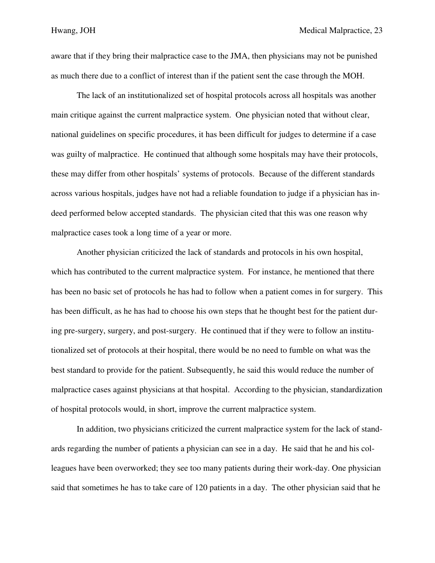aware that if they bring their malpractice case to the JMA, then physicians may not be punished as much there due to a conflict of interest than if the patient sent the case through the MOH.

 The lack of an institutionalized set of hospital protocols across all hospitals was another main critique against the current malpractice system. One physician noted that without clear, national guidelines on specific procedures, it has been difficult for judges to determine if a case was guilty of malpractice. He continued that although some hospitals may have their protocols, these may differ from other hospitals' systems of protocols. Because of the different standards across various hospitals, judges have not had a reliable foundation to judge if a physician has indeed performed below accepted standards. The physician cited that this was one reason why malpractice cases took a long time of a year or more.

 Another physician criticized the lack of standards and protocols in his own hospital, which has contributed to the current malpractice system. For instance, he mentioned that there has been no basic set of protocols he has had to follow when a patient comes in for surgery. This has been difficult, as he has had to choose his own steps that he thought best for the patient during pre-surgery, surgery, and post-surgery. He continued that if they were to follow an institutionalized set of protocols at their hospital, there would be no need to fumble on what was the best standard to provide for the patient. Subsequently, he said this would reduce the number of malpractice cases against physicians at that hospital. According to the physician, standardization of hospital protocols would, in short, improve the current malpractice system.

 In addition, two physicians criticized the current malpractice system for the lack of standards regarding the number of patients a physician can see in a day. He said that he and his colleagues have been overworked; they see too many patients during their work-day. One physician said that sometimes he has to take care of 120 patients in a day. The other physician said that he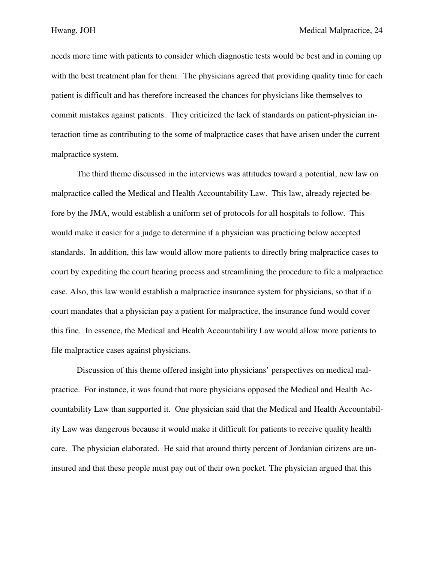needs more time with patients to consider which diagnostic tests would be best and in coming up with the best treatment plan for them. The physicians agreed that providing quality time for each patient is difficult and has therefore increased the chances for physicians like themselves to commit mistakes against patients. They criticized the lack of standards on patient-physician interaction time as contributing to the some of malpractice cases that have arisen under the current malpractice system.

 The third theme discussed in the interviews was attitudes toward a potential, new law on malpractice called the Medical and Health Accountability Law. This law, already rejected before by the JMA, would establish a uniform set of protocols for all hospitals to follow. This would make it easier for a judge to determine if a physician was practicing below accepted standards. In addition, this law would allow more patients to directly bring malpractice cases to court by expediting the court hearing process and streamlining the procedure to file a malpractice case. Also, this law would establish a malpractice insurance system for physicians, so that if a court mandates that a physician pay a patient for malpractice, the insurance fund would cover this fine. In essence, the Medical and Health Accountability Law would allow more patients to file malpractice cases against physicians.

 Discussion of this theme offered insight into physicians' perspectives on medical malpractice. For instance, it was found that more physicians opposed the Medical and Health Accountability Law than supported it. One physician said that the Medical and Health Accountability Law was dangerous because it would make it difficult for patients to receive quality health care. The physician elaborated. He said that around thirty percent of Jordanian citizens are uninsured and that these people must pay out of their own pocket. The physician argued that this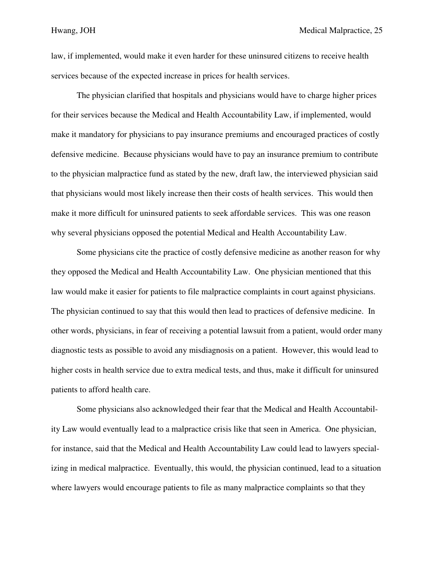law, if implemented, would make it even harder for these uninsured citizens to receive health services because of the expected increase in prices for health services.

 The physician clarified that hospitals and physicians would have to charge higher prices for their services because the Medical and Health Accountability Law, if implemented, would make it mandatory for physicians to pay insurance premiums and encouraged practices of costly defensive medicine. Because physicians would have to pay an insurance premium to contribute to the physician malpractice fund as stated by the new, draft law, the interviewed physician said that physicians would most likely increase then their costs of health services. This would then make it more difficult for uninsured patients to seek affordable services. This was one reason why several physicians opposed the potential Medical and Health Accountability Law.

 Some physicians cite the practice of costly defensive medicine as another reason for why they opposed the Medical and Health Accountability Law. One physician mentioned that this law would make it easier for patients to file malpractice complaints in court against physicians. The physician continued to say that this would then lead to practices of defensive medicine. In other words, physicians, in fear of receiving a potential lawsuit from a patient, would order many diagnostic tests as possible to avoid any misdiagnosis on a patient. However, this would lead to higher costs in health service due to extra medical tests, and thus, make it difficult for uninsured patients to afford health care.

 Some physicians also acknowledged their fear that the Medical and Health Accountability Law would eventually lead to a malpractice crisis like that seen in America. One physician, for instance, said that the Medical and Health Accountability Law could lead to lawyers specializing in medical malpractice. Eventually, this would, the physician continued, lead to a situation where lawyers would encourage patients to file as many malpractice complaints so that they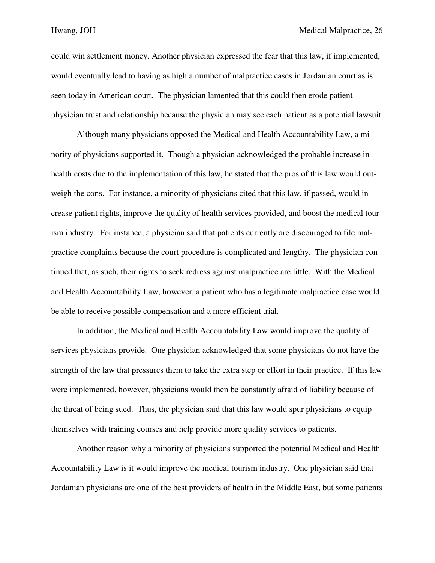could win settlement money. Another physician expressed the fear that this law, if implemented, would eventually lead to having as high a number of malpractice cases in Jordanian court as is seen today in American court. The physician lamented that this could then erode patientphysician trust and relationship because the physician may see each patient as a potential lawsuit.

 Although many physicians opposed the Medical and Health Accountability Law, a minority of physicians supported it. Though a physician acknowledged the probable increase in health costs due to the implementation of this law, he stated that the pros of this law would outweigh the cons. For instance, a minority of physicians cited that this law, if passed, would increase patient rights, improve the quality of health services provided, and boost the medical tourism industry. For instance, a physician said that patients currently are discouraged to file malpractice complaints because the court procedure is complicated and lengthy. The physician continued that, as such, their rights to seek redress against malpractice are little. With the Medical and Health Accountability Law, however, a patient who has a legitimate malpractice case would be able to receive possible compensation and a more efficient trial.

 In addition, the Medical and Health Accountability Law would improve the quality of services physicians provide. One physician acknowledged that some physicians do not have the strength of the law that pressures them to take the extra step or effort in their practice. If this law were implemented, however, physicians would then be constantly afraid of liability because of the threat of being sued. Thus, the physician said that this law would spur physicians to equip themselves with training courses and help provide more quality services to patients.

 Another reason why a minority of physicians supported the potential Medical and Health Accountability Law is it would improve the medical tourism industry. One physician said that Jordanian physicians are one of the best providers of health in the Middle East, but some patients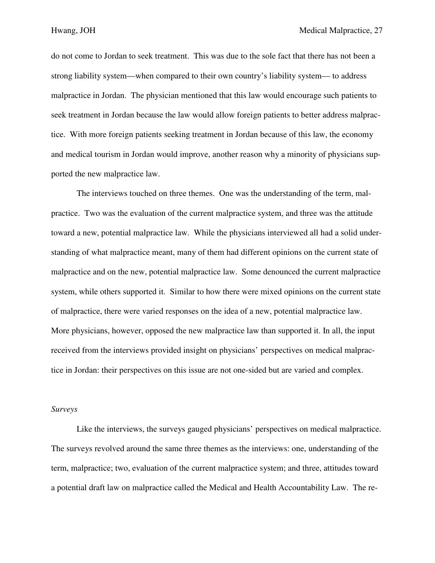do not come to Jordan to seek treatment. This was due to the sole fact that there has not been a strong liability system—when compared to their own country's liability system— to address malpractice in Jordan. The physician mentioned that this law would encourage such patients to seek treatment in Jordan because the law would allow foreign patients to better address malpractice. With more foreign patients seeking treatment in Jordan because of this law, the economy and medical tourism in Jordan would improve, another reason why a minority of physicians supported the new malpractice law.

 The interviews touched on three themes. One was the understanding of the term, malpractice. Two was the evaluation of the current malpractice system, and three was the attitude toward a new, potential malpractice law. While the physicians interviewed all had a solid understanding of what malpractice meant, many of them had different opinions on the current state of malpractice and on the new, potential malpractice law. Some denounced the current malpractice system, while others supported it. Similar to how there were mixed opinions on the current state of malpractice, there were varied responses on the idea of a new, potential malpractice law. More physicians, however, opposed the new malpractice law than supported it. In all, the input received from the interviews provided insight on physicians' perspectives on medical malpractice in Jordan: their perspectives on this issue are not one-sided but are varied and complex.

## *Surveys*

 Like the interviews, the surveys gauged physicians' perspectives on medical malpractice. The surveys revolved around the same three themes as the interviews: one, understanding of the term, malpractice; two, evaluation of the current malpractice system; and three, attitudes toward a potential draft law on malpractice called the Medical and Health Accountability Law. The re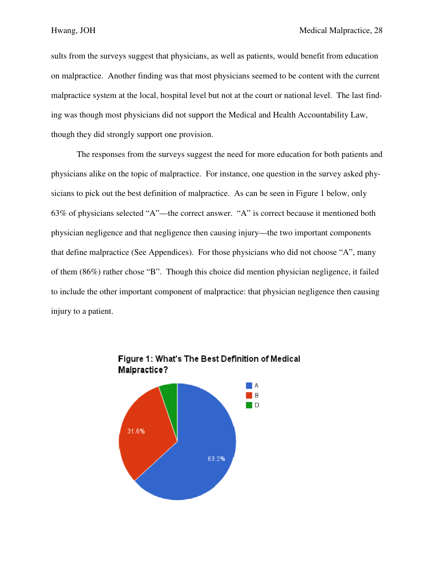sults from the surveys suggest that physicians, as well as patients, would benefit from education on malpractice. Another finding was that most physicians seemed to be content with the current malpractice system at the local, hospital level but not at the court or national level. The last finding was though most physicians did not support the Medical and Health Accountability Law, though they did strongly support one provision.

The responses from the surveys suggest the need for more education for both patients and physicians alike on the topic of malpractice. For instance, one question in the survey asked physicians to pick out the best definition of malpractice. As can be seen in Figure 1 below, only 63% of physicians selected "A"—the correct answer. "A" is correct because it mentioned both physician negligence and that negligence then causing injury—the two important components that define malpractice (See Appendices). For those physicians who did not choose "A", many of them (86%) rather chose "B". Though this choice did mention physician negligence, it failed to include the other important component of malpractice: that physician negligence then causing injury to a patient.



Figure 1: What's The Best Definition of Medical Malpractice?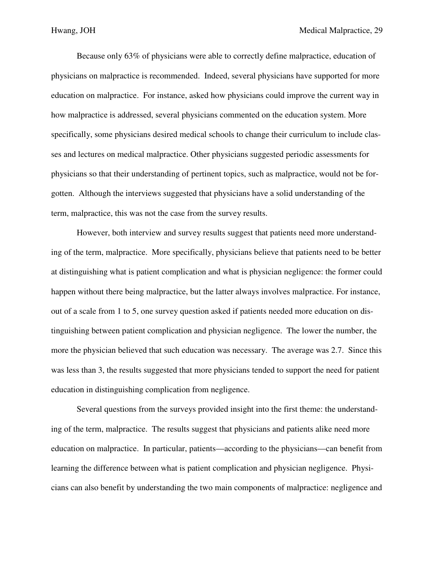Because only 63% of physicians were able to correctly define malpractice, education of physicians on malpractice is recommended. Indeed, several physicians have supported for more education on malpractice. For instance, asked how physicians could improve the current way in how malpractice is addressed, several physicians commented on the education system. More specifically, some physicians desired medical schools to change their curriculum to include classes and lectures on medical malpractice. Other physicians suggested periodic assessments for physicians so that their understanding of pertinent topics, such as malpractice, would not be forgotten. Although the interviews suggested that physicians have a solid understanding of the term, malpractice, this was not the case from the survey results.

 However, both interview and survey results suggest that patients need more understanding of the term, malpractice. More specifically, physicians believe that patients need to be better at distinguishing what is patient complication and what is physician negligence: the former could happen without there being malpractice, but the latter always involves malpractice. For instance, out of a scale from 1 to 5, one survey question asked if patients needed more education on distinguishing between patient complication and physician negligence. The lower the number, the more the physician believed that such education was necessary. The average was 2.7. Since this was less than 3, the results suggested that more physicians tended to support the need for patient education in distinguishing complication from negligence.

 Several questions from the surveys provided insight into the first theme: the understanding of the term, malpractice. The results suggest that physicians and patients alike need more education on malpractice. In particular, patients—according to the physicians—can benefit from learning the difference between what is patient complication and physician negligence. Physicians can also benefit by understanding the two main components of malpractice: negligence and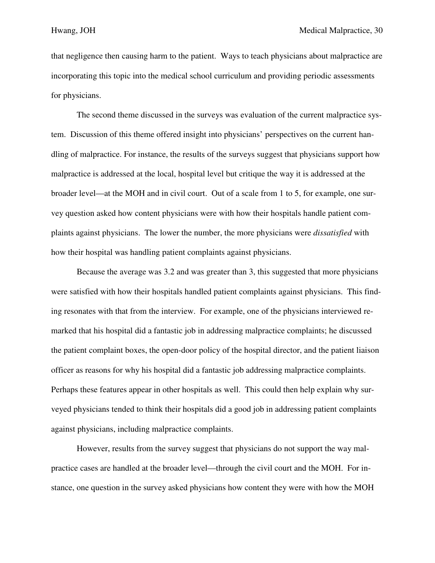that negligence then causing harm to the patient. Ways to teach physicians about malpractice are incorporating this topic into the medical school curriculum and providing periodic assessments for physicians.

 The second theme discussed in the surveys was evaluation of the current malpractice system. Discussion of this theme offered insight into physicians' perspectives on the current handling of malpractice. For instance, the results of the surveys suggest that physicians support how malpractice is addressed at the local, hospital level but critique the way it is addressed at the broader level—at the MOH and in civil court. Out of a scale from 1 to 5, for example, one survey question asked how content physicians were with how their hospitals handle patient complaints against physicians. The lower the number, the more physicians were *dissatisfied* with how their hospital was handling patient complaints against physicians.

 Because the average was 3.2 and was greater than 3, this suggested that more physicians were satisfied with how their hospitals handled patient complaints against physicians. This finding resonates with that from the interview. For example, one of the physicians interviewed remarked that his hospital did a fantastic job in addressing malpractice complaints; he discussed the patient complaint boxes, the open-door policy of the hospital director, and the patient liaison officer as reasons for why his hospital did a fantastic job addressing malpractice complaints. Perhaps these features appear in other hospitals as well. This could then help explain why surveyed physicians tended to think their hospitals did a good job in addressing patient complaints against physicians, including malpractice complaints.

 However, results from the survey suggest that physicians do not support the way malpractice cases are handled at the broader level—through the civil court and the MOH. For instance, one question in the survey asked physicians how content they were with how the MOH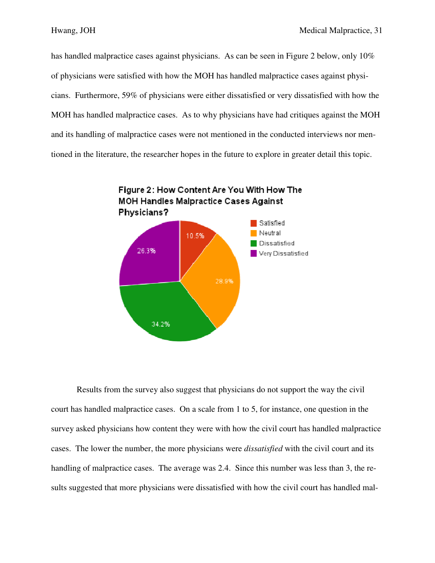has handled malpractice cases against physicians. As can be seen in Figure 2 below, only 10% of physicians were satisfied with how the MOH has handled malpractice cases against physicians. Furthermore, 59% of physicians were either dissatisfied or very dissatisfied with how the MOH has handled malpractice cases. As to why physicians have had critiques against the MOH and its handling of malpractice cases were not mentioned in the conducted interviews nor mentioned in the literature, the researcher hopes in the future to explore in greater detail this topic.



Results from the survey also suggest that physicians do not support the way the civil court has handled malpractice cases. On a scale from 1 to 5, for instance, one question in the survey asked physicians how content they were with how the civil court has handled malpractice cases. The lower the number, the more physicians were *dissatisfied* with the civil court and its handling of malpractice cases. The average was 2.4. Since this number was less than 3, the results suggested that more physicians were dissatisfied with how the civil court has handled mal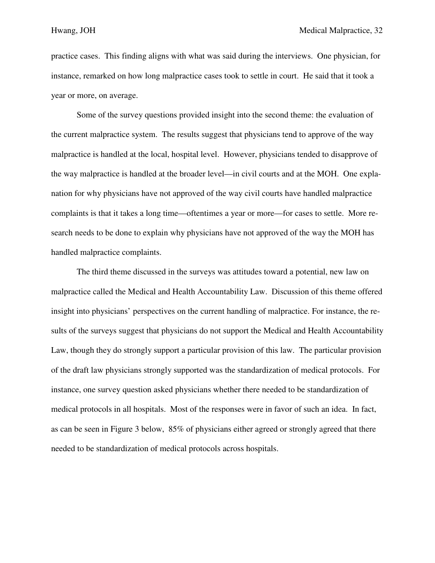practice cases. This finding aligns with what was said during the interviews. One physician, for instance, remarked on how long malpractice cases took to settle in court. He said that it took a year or more, on average.

 Some of the survey questions provided insight into the second theme: the evaluation of the current malpractice system. The results suggest that physicians tend to approve of the way malpractice is handled at the local, hospital level. However, physicians tended to disapprove of the way malpractice is handled at the broader level—in civil courts and at the MOH. One explanation for why physicians have not approved of the way civil courts have handled malpractice complaints is that it takes a long time—oftentimes a year or more—for cases to settle. More research needs to be done to explain why physicians have not approved of the way the MOH has handled malpractice complaints.

 The third theme discussed in the surveys was attitudes toward a potential, new law on malpractice called the Medical and Health Accountability Law. Discussion of this theme offered insight into physicians' perspectives on the current handling of malpractice. For instance, the results of the surveys suggest that physicians do not support the Medical and Health Accountability Law, though they do strongly support a particular provision of this law. The particular provision of the draft law physicians strongly supported was the standardization of medical protocols. For instance, one survey question asked physicians whether there needed to be standardization of medical protocols in all hospitals. Most of the responses were in favor of such an idea. In fact, as can be seen in Figure 3 below, 85% of physicians either agreed or strongly agreed that there needed to be standardization of medical protocols across hospitals.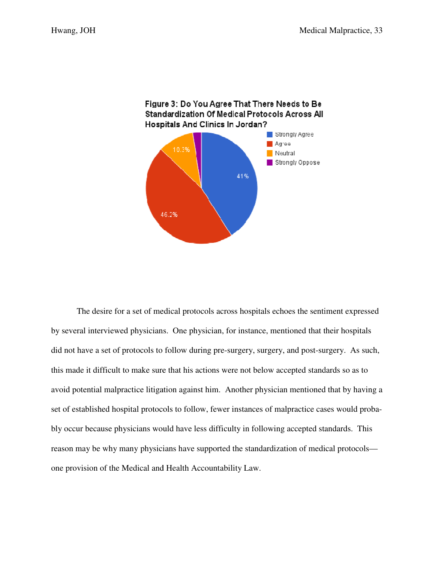

The desire for a set of medical protocols across hospitals echoes the sentiment expressed by several interviewed physicians. One physician, for instance, mentioned that their hospitals did not have a set of protocols to follow during pre-surgery, surgery, and post-surgery. As such, this made it difficult to make sure that his actions were not below accepted standards so as to avoid potential malpractice litigation against him. Another physician mentioned that by having a set of established hospital protocols to follow, fewer instances of malpractice cases would probably occur because physicians would have less difficulty in following accepted standards. This reason may be why many physicians have supported the standardization of medical protocols one provision of the Medical and Health Accountability Law.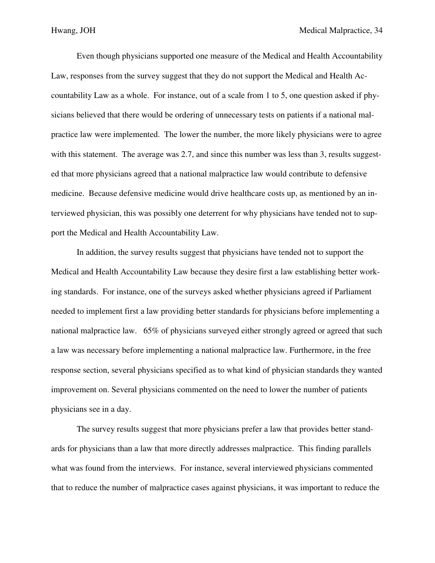Even though physicians supported one measure of the Medical and Health Accountability Law, responses from the survey suggest that they do not support the Medical and Health Accountability Law as a whole. For instance, out of a scale from 1 to 5, one question asked if physicians believed that there would be ordering of unnecessary tests on patients if a national malpractice law were implemented. The lower the number, the more likely physicians were to agree with this statement. The average was 2.7, and since this number was less than 3, results suggested that more physicians agreed that a national malpractice law would contribute to defensive medicine. Because defensive medicine would drive healthcare costs up, as mentioned by an interviewed physician, this was possibly one deterrent for why physicians have tended not to support the Medical and Health Accountability Law.

 In addition, the survey results suggest that physicians have tended not to support the Medical and Health Accountability Law because they desire first a law establishing better working standards. For instance, one of the surveys asked whether physicians agreed if Parliament needed to implement first a law providing better standards for physicians before implementing a national malpractice law. 65% of physicians surveyed either strongly agreed or agreed that such a law was necessary before implementing a national malpractice law. Furthermore, in the free response section, several physicians specified as to what kind of physician standards they wanted improvement on. Several physicians commented on the need to lower the number of patients physicians see in a day.

 The survey results suggest that more physicians prefer a law that provides better standards for physicians than a law that more directly addresses malpractice. This finding parallels what was found from the interviews. For instance, several interviewed physicians commented that to reduce the number of malpractice cases against physicians, it was important to reduce the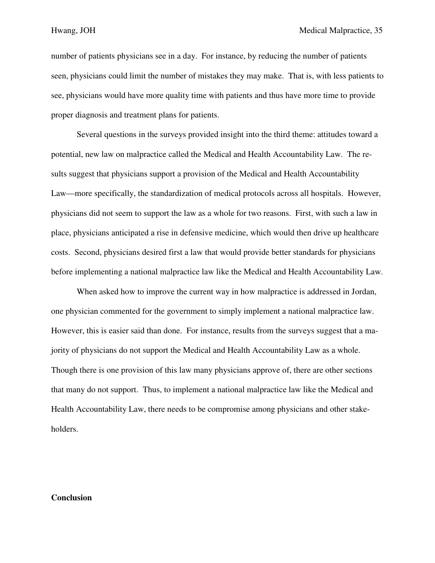number of patients physicians see in a day. For instance, by reducing the number of patients seen, physicians could limit the number of mistakes they may make. That is, with less patients to see, physicians would have more quality time with patients and thus have more time to provide proper diagnosis and treatment plans for patients.

 Several questions in the surveys provided insight into the third theme: attitudes toward a potential, new law on malpractice called the Medical and Health Accountability Law. The results suggest that physicians support a provision of the Medical and Health Accountability Law—more specifically, the standardization of medical protocols across all hospitals. However, physicians did not seem to support the law as a whole for two reasons. First, with such a law in place, physicians anticipated a rise in defensive medicine, which would then drive up healthcare costs. Second, physicians desired first a law that would provide better standards for physicians before implementing a national malpractice law like the Medical and Health Accountability Law.

 When asked how to improve the current way in how malpractice is addressed in Jordan, one physician commented for the government to simply implement a national malpractice law. However, this is easier said than done. For instance, results from the surveys suggest that a majority of physicians do not support the Medical and Health Accountability Law as a whole. Though there is one provision of this law many physicians approve of, there are other sections that many do not support. Thus, to implement a national malpractice law like the Medical and Health Accountability Law, there needs to be compromise among physicians and other stakeholders.

# **Conclusion**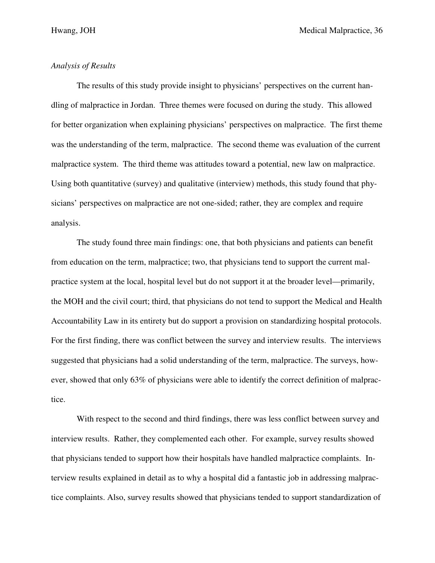# *Analysis of Results*

The results of this study provide insight to physicians' perspectives on the current handling of malpractice in Jordan. Three themes were focused on during the study. This allowed for better organization when explaining physicians' perspectives on malpractice. The first theme was the understanding of the term, malpractice. The second theme was evaluation of the current malpractice system. The third theme was attitudes toward a potential, new law on malpractice. Using both quantitative (survey) and qualitative (interview) methods, this study found that physicians' perspectives on malpractice are not one-sided; rather, they are complex and require analysis.

 The study found three main findings: one, that both physicians and patients can benefit from education on the term, malpractice; two, that physicians tend to support the current malpractice system at the local, hospital level but do not support it at the broader level—primarily, the MOH and the civil court; third, that physicians do not tend to support the Medical and Health Accountability Law in its entirety but do support a provision on standardizing hospital protocols. For the first finding, there was conflict between the survey and interview results. The interviews suggested that physicians had a solid understanding of the term, malpractice. The surveys, however, showed that only 63% of physicians were able to identify the correct definition of malpractice.

 With respect to the second and third findings, there was less conflict between survey and interview results. Rather, they complemented each other. For example, survey results showed that physicians tended to support how their hospitals have handled malpractice complaints. Interview results explained in detail as to why a hospital did a fantastic job in addressing malpractice complaints. Also, survey results showed that physicians tended to support standardization of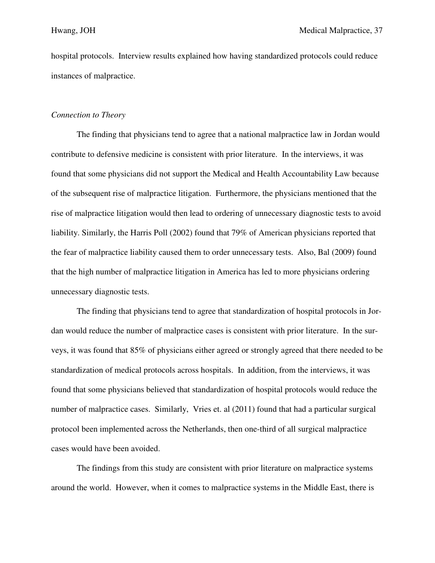hospital protocols. Interview results explained how having standardized protocols could reduce instances of malpractice.

## *Connection to Theory*

 The finding that physicians tend to agree that a national malpractice law in Jordan would contribute to defensive medicine is consistent with prior literature. In the interviews, it was found that some physicians did not support the Medical and Health Accountability Law because of the subsequent rise of malpractice litigation. Furthermore, the physicians mentioned that the rise of malpractice litigation would then lead to ordering of unnecessary diagnostic tests to avoid liability. Similarly, the Harris Poll (2002) found that 79% of American physicians reported that the fear of malpractice liability caused them to order unnecessary tests. Also, Bal (2009) found that the high number of malpractice litigation in America has led to more physicians ordering unnecessary diagnostic tests.

 The finding that physicians tend to agree that standardization of hospital protocols in Jordan would reduce the number of malpractice cases is consistent with prior literature. In the surveys, it was found that 85% of physicians either agreed or strongly agreed that there needed to be standardization of medical protocols across hospitals. In addition, from the interviews, it was found that some physicians believed that standardization of hospital protocols would reduce the number of malpractice cases. Similarly, Vries et. al (2011) found that had a particular surgical protocol been implemented across the Netherlands, then one-third of all surgical malpractice cases would have been avoided.

 The findings from this study are consistent with prior literature on malpractice systems around the world. However, when it comes to malpractice systems in the Middle East, there is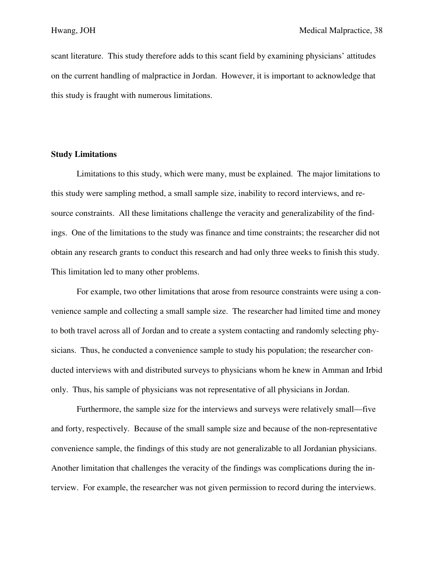scant literature. This study therefore adds to this scant field by examining physicians' attitudes on the current handling of malpractice in Jordan. However, it is important to acknowledge that this study is fraught with numerous limitations.

## **Study Limitations**

 Limitations to this study, which were many, must be explained. The major limitations to this study were sampling method, a small sample size, inability to record interviews, and resource constraints. All these limitations challenge the veracity and generalizability of the findings. One of the limitations to the study was finance and time constraints; the researcher did not obtain any research grants to conduct this research and had only three weeks to finish this study. This limitation led to many other problems.

 For example, two other limitations that arose from resource constraints were using a convenience sample and collecting a small sample size. The researcher had limited time and money to both travel across all of Jordan and to create a system contacting and randomly selecting physicians. Thus, he conducted a convenience sample to study his population; the researcher conducted interviews with and distributed surveys to physicians whom he knew in Amman and Irbid only. Thus, his sample of physicians was not representative of all physicians in Jordan.

 Furthermore, the sample size for the interviews and surveys were relatively small—five and forty, respectively. Because of the small sample size and because of the non-representative convenience sample, the findings of this study are not generalizable to all Jordanian physicians. Another limitation that challenges the veracity of the findings was complications during the interview. For example, the researcher was not given permission to record during the interviews.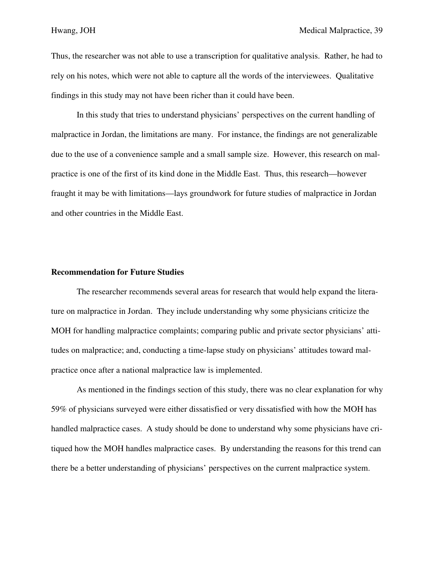Thus, the researcher was not able to use a transcription for qualitative analysis. Rather, he had to rely on his notes, which were not able to capture all the words of the interviewees. Qualitative findings in this study may not have been richer than it could have been.

 In this study that tries to understand physicians' perspectives on the current handling of malpractice in Jordan, the limitations are many. For instance, the findings are not generalizable due to the use of a convenience sample and a small sample size. However, this research on malpractice is one of the first of its kind done in the Middle East. Thus, this research—however fraught it may be with limitations—lays groundwork for future studies of malpractice in Jordan and other countries in the Middle East.

## **Recommendation for Future Studies**

 The researcher recommends several areas for research that would help expand the literature on malpractice in Jordan. They include understanding why some physicians criticize the MOH for handling malpractice complaints; comparing public and private sector physicians' attitudes on malpractice; and, conducting a time-lapse study on physicians' attitudes toward malpractice once after a national malpractice law is implemented.

 As mentioned in the findings section of this study, there was no clear explanation for why 59% of physicians surveyed were either dissatisfied or very dissatisfied with how the MOH has handled malpractice cases. A study should be done to understand why some physicians have critiqued how the MOH handles malpractice cases. By understanding the reasons for this trend can there be a better understanding of physicians' perspectives on the current malpractice system.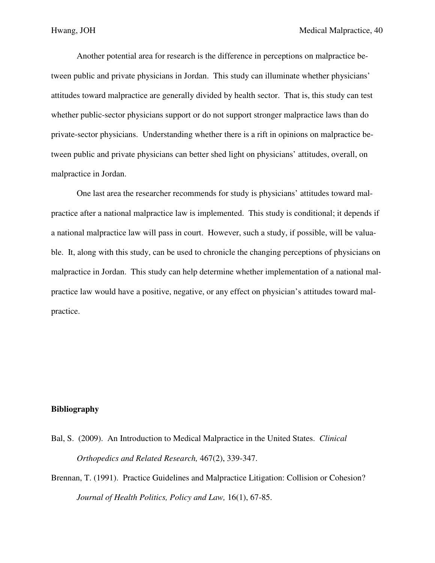Another potential area for research is the difference in perceptions on malpractice between public and private physicians in Jordan. This study can illuminate whether physicians' attitudes toward malpractice are generally divided by health sector. That is, this study can test whether public-sector physicians support or do not support stronger malpractice laws than do private-sector physicians. Understanding whether there is a rift in opinions on malpractice between public and private physicians can better shed light on physicians' attitudes, overall, on malpractice in Jordan.

 One last area the researcher recommends for study is physicians' attitudes toward malpractice after a national malpractice law is implemented. This study is conditional; it depends if a national malpractice law will pass in court. However, such a study, if possible, will be valuable. It, along with this study, can be used to chronicle the changing perceptions of physicians on malpractice in Jordan. This study can help determine whether implementation of a national malpractice law would have a positive, negative, or any effect on physician's attitudes toward malpractice.

## **Bibliography**

- Bal, S. (2009). An Introduction to Medical Malpractice in the United States. *Clinical Orthopedics and Related Research,* 467(2), 339-347.
- Brennan, T. (1991). Practice Guidelines and Malpractice Litigation: Collision or Cohesion? *Journal of Health Politics, Policy and Law,* 16(1), 67-85.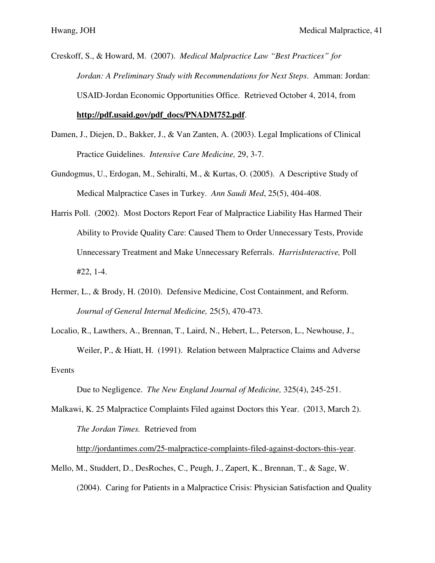- Creskoff, S., & Howard, M. (2007). *Medical Malpractice Law "Best Practices" for Jordan: A Preliminary Study with Recommendations for Next Steps*. Amman: Jordan: USAID-Jordan Economic Opportunities Office. Retrieved October 4, 2014, from **http://pdf.usaid.gov/pdf\_docs/PNADM752.pdf**.
- Damen, J., Diejen, D., Bakker, J., & Van Zanten, A. (2003). Legal Implications of Clinical Practice Guidelines. *Intensive Care Medicine,* 29, 3-7.
- Gundogmus, U., Erdogan, M., Sehiralti, M., & Kurtas, O. (2005). A Descriptive Study of Medical Malpractice Cases in Turkey. *Ann Saudi Med*, 25(5), 404-408.
- Harris Poll. (2002). Most Doctors Report Fear of Malpractice Liability Has Harmed Their Ability to Provide Quality Care: Caused Them to Order Unnecessary Tests, Provide Unnecessary Treatment and Make Unnecessary Referrals. *HarrisInteractive,* Poll #22, 1-4.
- Hermer, L., & Brody, H. (2010). Defensive Medicine, Cost Containment, and Reform. *Journal of General Internal Medicine,* 25(5), 470-473.
- Localio, R., Lawthers, A., Brennan, T., Laird, N., Hebert, L., Peterson, L., Newhouse, J., Weiler, P., & Hiatt, H. (1991). Relation between Malpractice Claims and Adverse Events

Due to Negligence. *The New England Journal of Medicine,* 325(4), 245-251.

Malkawi, K. 25 Malpractice Complaints Filed against Doctors this Year. (2013, March 2). *The Jordan Times.* Retrieved from

http://jordantimes.com/25-malpractice-complaints-filed-against-doctors-this-year.

Mello, M., Studdert, D., DesRoches, C., Peugh, J., Zapert, K., Brennan, T., & Sage, W. (2004). Caring for Patients in a Malpractice Crisis: Physician Satisfaction and Quality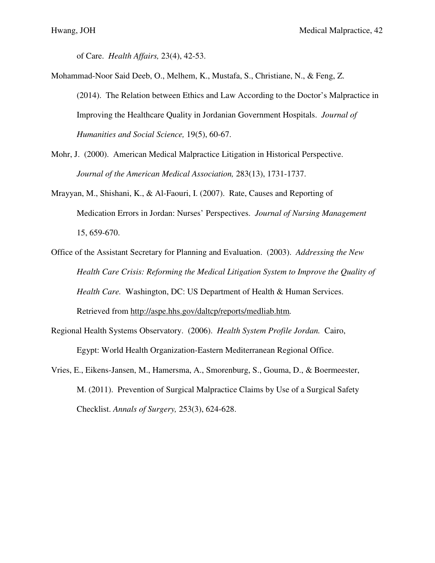of Care. *Health Affairs,* 23(4), 42-53.

- Mohammad-Noor Said Deeb, O., Melhem, K., Mustafa, S., Christiane, N., & Feng, Z. (2014). The Relation between Ethics and Law According to the Doctor's Malpractice in Improving the Healthcare Quality in Jordanian Government Hospitals. *Journal of Humanities and Social Science,* 19(5), 60-67.
- Mohr, J. (2000). American Medical Malpractice Litigation in Historical Perspective.  *Journal of the American Medical Association,* 283(13), 1731-1737.
- Mrayyan, M., Shishani, K., & Al-Faouri, I. (2007). Rate, Causes and Reporting of Medication Errors in Jordan: Nurses' Perspectives. *Journal of Nursing Management*  15, 659-670.
- Office of the Assistant Secretary for Planning and Evaluation. (2003). *Addressing the New Health Care Crisis: Reforming the Medical Litigation System to Improve the Quality of Health Care.* Washington, DC: US Department of Health & Human Services. Retrieved from http://aspe.hhs.gov/daltcp/reports/medliab.htm*.*
- Regional Health Systems Observatory. (2006). *Health System Profile Jordan.* Cairo, Egypt: World Health Organization-Eastern Mediterranean Regional Office.
- Vries, E., Eikens-Jansen, M., Hamersma, A., Smorenburg, S., Gouma, D., & Boermeester, M. (2011). Prevention of Surgical Malpractice Claims by Use of a Surgical Safety Checklist. *Annals of Surgery,* 253(3), 624-628.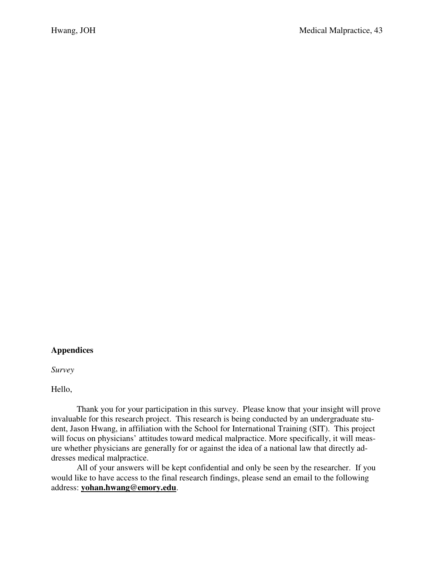# **Appendices**

*Survey* 

Hello,

 Thank you for your participation in this survey. Please know that your insight will prove invaluable for this research project. This research is being conducted by an undergraduate student, Jason Hwang, in affiliation with the School for International Training (SIT). This project will focus on physicians' attitudes toward medical malpractice. More specifically, it will measure whether physicians are generally for or against the idea of a national law that directly addresses medical malpractice.

 All of your answers will be kept confidential and only be seen by the researcher. If you would like to have access to the final research findings, please send an email to the following address: **yohan.hwang@emory.edu**.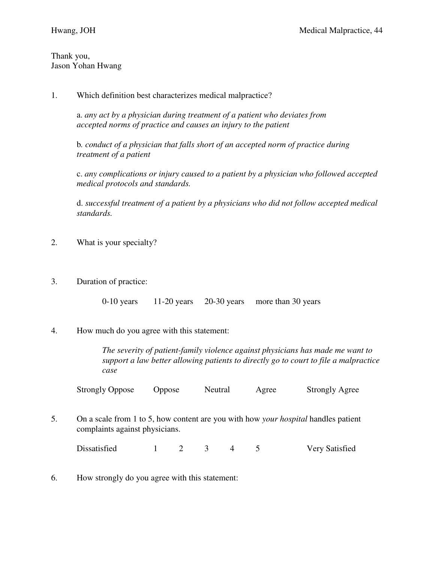Thank you, Jason Yohan Hwang

1. Which definition best characterizes medical malpractice?

 a. *any act by a physician during treatment of a patient who deviates from accepted norms of practice and causes an injury to the patient* 

b*. conduct of a physician that falls short of an accepted norm of practice during treatment of a patient* 

 c. *any complications or injury caused to a patient by a physician who followed accepted medical protocols and standards.* 

 d. *successful treatment of a patient by a physicians who did not follow accepted medical standards.* 

- 2. What is your specialty?
- 3. Duration of practice:

0-10 years 11-20 years 20-30 years more than 30 years

4. How much do you agree with this statement:

 *The severity of patient-family violence against physicians has made me want to support a law better allowing patients to directly go to court to file a malpractice case* 

Strongly Oppose Oppose Neutral Agree Strongly Agree

5. On a scale from 1 to 5, how content are you with how *your hospital* handles patient complaints against physicians.

Dissatisfied 1 2 3 4 5 Very Satisfied

6. How strongly do you agree with this statement: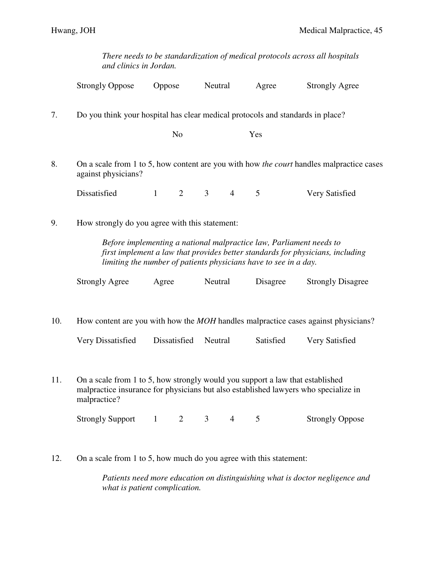*There needs to be standardization of medical protocols across all hospitals and clinics in Jordan.* 

|     | <b>Strongly Oppose</b>                                                                                                                                                                                                                                                      | Oppose                         | Neutral                          | Agree     | <b>Strongly Agree</b>    |  |  |
|-----|-----------------------------------------------------------------------------------------------------------------------------------------------------------------------------------------------------------------------------------------------------------------------------|--------------------------------|----------------------------------|-----------|--------------------------|--|--|
| 7.  | Do you think your hospital has clear medical protocols and standards in place?                                                                                                                                                                                              | N <sub>o</sub>                 |                                  | Yes       |                          |  |  |
| 8.  | On a scale from 1 to 5, how content are you with how the court handles malpractice cases<br>against physicians?                                                                                                                                                             |                                |                                  |           |                          |  |  |
|     | Dissatisfied                                                                                                                                                                                                                                                                | $\overline{2}$<br>$\mathbf{1}$ | $\mathfrak{Z}$<br>$\overline{4}$ | 5         | Very Satisfied           |  |  |
| 9.  | How strongly do you agree with this statement:<br>Before implementing a national malpractice law, Parliament needs to<br>first implement a law that provides better standards for physicians, including<br>limiting the number of patients physicians have to see in a day. |                                |                                  |           |                          |  |  |
|     | <b>Strongly Agree</b>                                                                                                                                                                                                                                                       | Agree                          | Neutral                          | Disagree  | <b>Strongly Disagree</b> |  |  |
| 10. | How content are you with how the <i>MOH</i> handles malpractice cases against physicians?                                                                                                                                                                                   |                                |                                  |           |                          |  |  |
|     | Very Dissatisfied                                                                                                                                                                                                                                                           | Dissatisfied                   | Neutral                          | Satisfied | Very Satisfied           |  |  |
| 11. | On a scale from 1 to 5, how strongly would you support a law that established<br>malpractice insurance for physicians but also established lawyers who specialize in<br>malpractice?<br><b>Strongly Support</b>                                                             | $\overline{2}$<br>$\mathbf{1}$ | $\overline{3}$<br>$\overline{4}$ | 5         | <b>Strongly Oppose</b>   |  |  |
|     |                                                                                                                                                                                                                                                                             |                                |                                  |           |                          |  |  |

12. On a scale from 1 to 5, how much do you agree with this statement:

 *Patients need more education on distinguishing what is doctor negligence and what is patient complication.*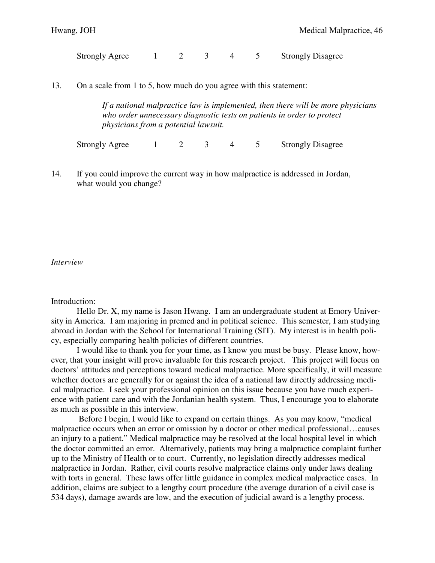Strongly Agree 1 2 3 4 5 Strongly Disagree

13. On a scale from 1 to 5, how much do you agree with this statement:

 *If a national malpractice law is implemented, then there will be more physicians who order unnecessary diagnostic tests on patients in order to protect physicians from a potential lawsuit.* 

Strongly Agree 1 2 3 4 5 Strongly Disagree

14. If you could improve the current way in how malpractice is addressed in Jordan, what would you change?

## *Interview*

## Introduction:

 Hello Dr. X, my name is Jason Hwang. I am an undergraduate student at Emory University in America. I am majoring in premed and in political science. This semester, I am studying abroad in Jordan with the School for International Training (SIT). My interest is in health policy, especially comparing health policies of different countries.

 I would like to thank you for your time, as I know you must be busy. Please know, however, that your insight will prove invaluable for this research project. This project will focus on doctors' attitudes and perceptions toward medical malpractice. More specifically, it will measure whether doctors are generally for or against the idea of a national law directly addressing medical malpractice. I seek your professional opinion on this issue because you have much experience with patient care and with the Jordanian health system. Thus, I encourage you to elaborate as much as possible in this interview.

 Before I begin, I would like to expand on certain things. As you may know, "medical malpractice occurs when an error or omission by a doctor or other medical professional…causes an injury to a patient." Medical malpractice may be resolved at the local hospital level in which the doctor committed an error. Alternatively, patients may bring a malpractice complaint further up to the Ministry of Health or to court. Currently, no legislation directly addresses medical malpractice in Jordan. Rather, civil courts resolve malpractice claims only under laws dealing with torts in general. These laws offer little guidance in complex medical malpractice cases. In addition, claims are subject to a lengthy court procedure (the average duration of a civil case is 534 days), damage awards are low, and the execution of judicial award is a lengthy process.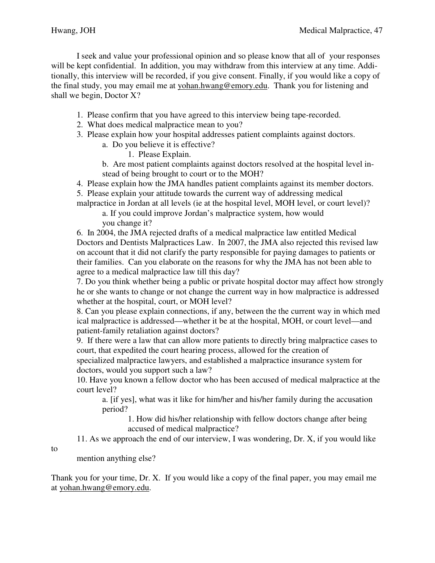I seek and value your professional opinion and so please know that all of your responses will be kept confidential. In addition, you may withdraw from this interview at any time. Additionally, this interview will be recorded, if you give consent. Finally, if you would like a copy of the final study, you may email me at yohan.hwang@emory.edu. Thank you for listening and shall we begin, Doctor X?

- 1. Please confirm that you have agreed to this interview being tape-recorded.
- 2. What does medical malpractice mean to you?
- 3. Please explain how your hospital addresses patient complaints against doctors.
	- a. Do you believe it is effective?
		- 1. Please Explain.
	- b. Are most patient complaints against doctors resolved at the hospital level in stead of being brought to court or to the MOH?
- 4. Please explain how the JMA handles patient complaints against its member doctors.
- 5. Please explain your attitude towards the current way of addressing medical malpractice in Jordan at all levels (ie at the hospital level, MOH level, or court level)?

 a. If you could improve Jordan's malpractice system, how would you change it?

 6. In 2004, the JMA rejected drafts of a medical malpractice law entitled Medical Doctors and Dentists Malpractices Law. In 2007, the JMA also rejected this revised law on account that it did not clarify the party responsible for paying damages to patients or their families. Can you elaborate on the reasons for why the JMA has not been able to agree to a medical malpractice law till this day?

 7. Do you think whether being a public or private hospital doctor may affect how strongly he or she wants to change or not change the current way in how malpractice is addressed whether at the hospital, court, or MOH level?

 8. Can you please explain connections, if any, between the the current way in which med ical malpractice is addressed—whether it be at the hospital, MOH, or court level—and patient-family retaliation against doctors?

 9. If there were a law that can allow more patients to directly bring malpractice cases to court, that expedited the court hearing process, allowed for the creation of

 specialized malpractice lawyers, and established a malpractice insurance system for doctors, would you support such a law?

 10. Have you known a fellow doctor who has been accused of medical malpractice at the court level?

 a. [if yes], what was it like for him/her and his/her family during the accusation period?

 1. How did his/her relationship with fellow doctors change after being accused of medical malpractice?

11. As we approach the end of our interview, I was wondering, Dr. X, if you would like

to

mention anything else?

Thank you for your time, Dr. X. If you would like a copy of the final paper, you may email me at yohan.hwang@emory.edu.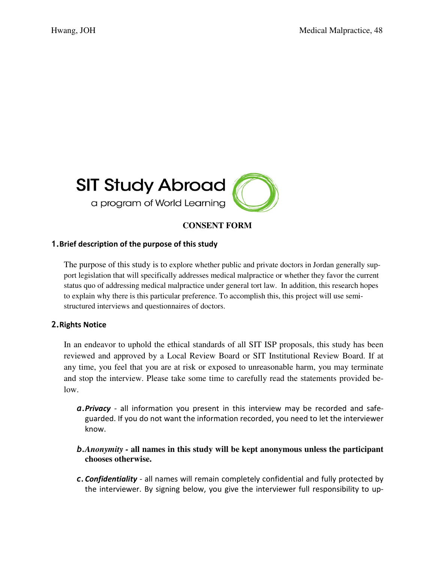

# **CONSENT FORM**

# 1.Brief description of the purpose of this study

The purpose of this study is to explore whether public and private doctors in Jordan generally support legislation that will specifically addresses medical malpractice or whether they favor the current status quo of addressing medical malpractice under general tort law. In addition, this research hopes to explain why there is this particular preference. To accomplish this, this project will use semistructured interviews and questionnaires of doctors.

# 2.Rights Notice

In an endeavor to uphold the ethical standards of all SIT ISP proposals, this study has been reviewed and approved by a Local Review Board or SIT Institutional Review Board. If at any time, you feel that you are at risk or exposed to unreasonable harm, you may terminate and stop the interview. Please take some time to carefully read the statements provided below.

- **a. Privacy** all information you present in this interview may be recorded and safeguarded. If you do not want the information recorded, you need to let the interviewer know.
- b.*Anonymity* **all names in this study will be kept anonymous unless the participant chooses otherwise.**
- c.Confidentiality all names will remain completely confidential and fully protected by the interviewer. By signing below, you give the interviewer full responsibility to up-